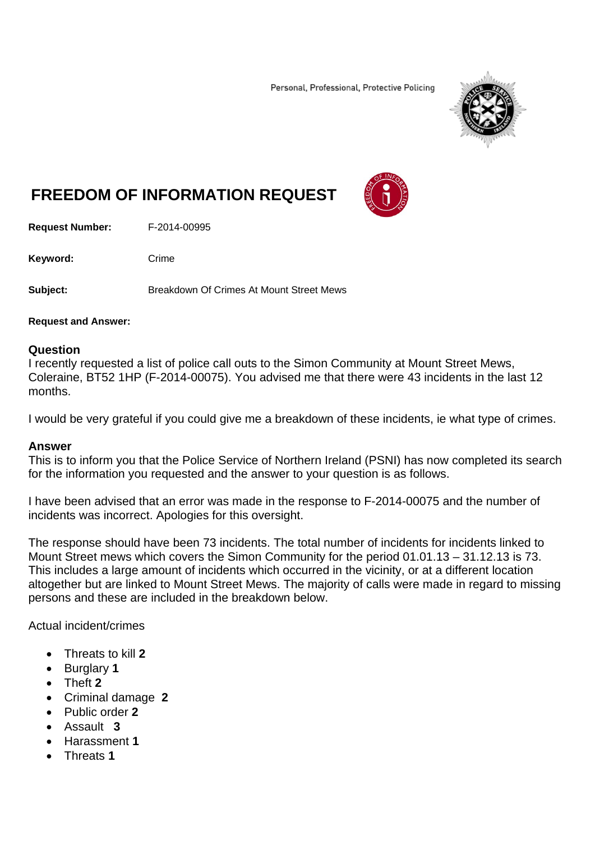Personal, Professional, Protective Policing



## **FREEDOM OF INFORMATION REQUEST**

**Request Number:** F-2014-00995

Keyword: Crime

**Subject:** Breakdown Of Crimes At Mount Street Mews

## **Request and Answer:**

## **Question**

I recently requested a list of police call outs to the Simon Community at Mount Street Mews, Coleraine, BT52 1HP (F-2014-00075). You advised me that there were 43 incidents in the last 12 months.

I would be very grateful if you could give me a breakdown of these incidents, ie what type of crimes.

## **Answer**

This is to inform you that the Police Service of Northern Ireland (PSNI) has now completed its search for the information you requested and the answer to your question is as follows.

I have been advised that an error was made in the response to F-2014-00075 and the number of incidents was incorrect. Apologies for this oversight.

The response should have been 73 incidents. The total number of incidents for incidents linked to Mount Street mews which covers the Simon Community for the period 01.01.13 – 31.12.13 is 73. This includes a large amount of incidents which occurred in the vicinity, or at a different location altogether but are linked to Mount Street Mews. The majority of calls were made in regard to missing persons and these are included in the breakdown below.

Actual incident/crimes

- Threats to kill **2**
- Burglary **1**
- Theft **2**
- Criminal damage **2**
- Public order **2**
- Assault **3**
- Harassment **1**
- Threats **1**